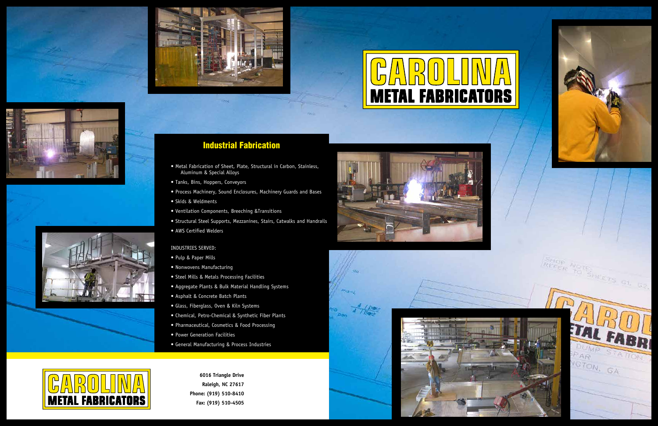**6016 Triangle Drive Raleigh, NC 27617 Phone: (919) 510-8410 Fax: (919) 510-4505**

















### Industrial Fabrication

- Metal Fabrication of Sheet, Plate, Structural in Carbon, Stainless, Aluminum & Special Alloys
- Tanks, Bins, Hoppers, Conveyors
- Process Machinery, Sound Enclosures, Machinery Guards and Bases
- Skids & Weldments
- Ventilation Components, Breeching &Transitions
- Structural Steel Supports, Mezzanines, Stairs, Catwalks and Handrails
- AWS Certified Welders

#### INDUSTRIES SERVED:

- Pulp & Paper Mills
- Nonwovens Manufacturing
- Steel Mills & Metals Processing Facilities
- Aggregate Plants & Bulk Material Handling Systems
- Asphalt & Concrete Batch Plants
- Glass, Fiberglass, Oven & Kiln Systems
- Chemical, Petro-Chemical & Synthetic Fiber Plants
- Pharmaceutical, Cosmetics & Food Processing
- Power Generation Facilities
- General Manufacturing & Process Industries